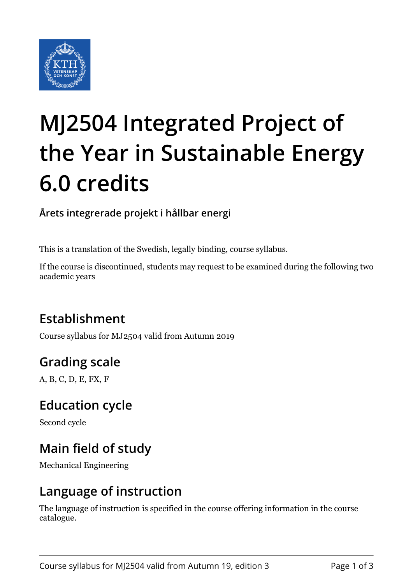

# **MJ2504 Integrated Project of the Year in Sustainable Energy 6.0 credits**

**Årets integrerade projekt i hållbar energi**

This is a translation of the Swedish, legally binding, course syllabus.

If the course is discontinued, students may request to be examined during the following two academic years

## **Establishment**

Course syllabus for MJ2504 valid from Autumn 2019

## **Grading scale**

A, B, C, D, E, FX, F

#### **Education cycle**

Second cycle

## **Main field of study**

Mechanical Engineering

#### **Language of instruction**

The language of instruction is specified in the course offering information in the course catalogue.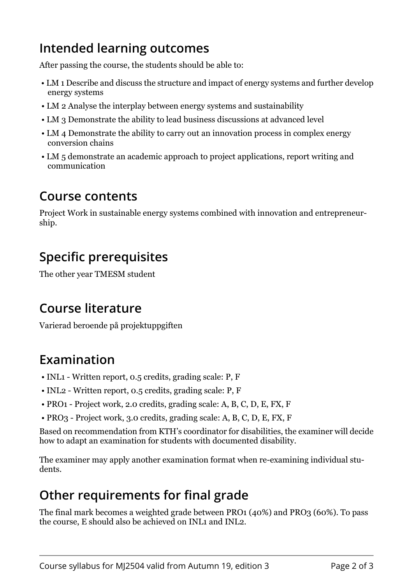#### **Intended learning outcomes**

After passing the course, the students should be able to:

- LM 1 Describe and discuss the structure and impact of energy systems and further develop energy systems
- LM 2 Analyse the interplay between energy systems and sustainability
- LM 3 Demonstrate the ability to lead business discussions at advanced level
- LM 4 Demonstrate the ability to carry out an innovation process in complex energy conversion chains
- LM 5 demonstrate an academic approach to project applications, report writing and communication

#### **Course contents**

Project Work in sustainable energy systems combined with innovation and entrepreneurship.

### **Specific prerequisites**

The other year TMESM student

#### **Course literature**

Varierad beroende på projektuppgiften

## **Examination**

- INL1 Written report, 0.5 credits, grading scale: P, F
- INL2 Written report, 0.5 credits, grading scale: P, F
- PRO1 Project work, 2.0 credits, grading scale: A, B, C, D, E, FX, F
- PRO3 Project work, 3.0 credits, grading scale: A, B, C, D, E, FX, F

Based on recommendation from KTH's coordinator for disabilities, the examiner will decide how to adapt an examination for students with documented disability.

The examiner may apply another examination format when re-examining individual students.

# **Other requirements for final grade**

The final mark becomes a weighted grade between PRO1 (40%) and PRO3 (60%). To pass the course, E should also be achieved on INL1 and INL2.